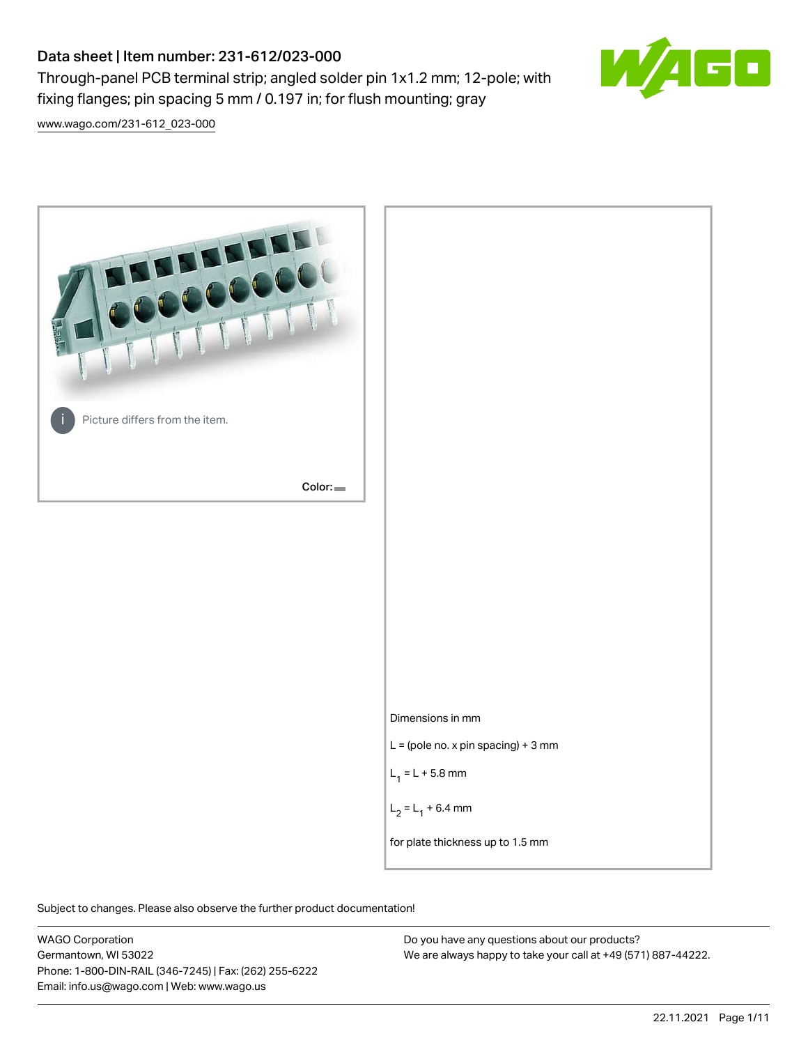# Data sheet | Item number: 231-612/023-000

Through-panel PCB terminal strip; angled solder pin 1x1.2 mm; 12-pole; with fixing flanges; pin spacing 5 mm / 0.197 in; for flush mounting; gray



[www.wago.com/231-612\\_023-000](http://www.wago.com/231-612_023-000)



Subject to changes. Please also observe the further product documentation!

WAGO Corporation Germantown, WI 53022 Phone: 1-800-DIN-RAIL (346-7245) | Fax: (262) 255-6222 Email: info.us@wago.com | Web: www.wago.us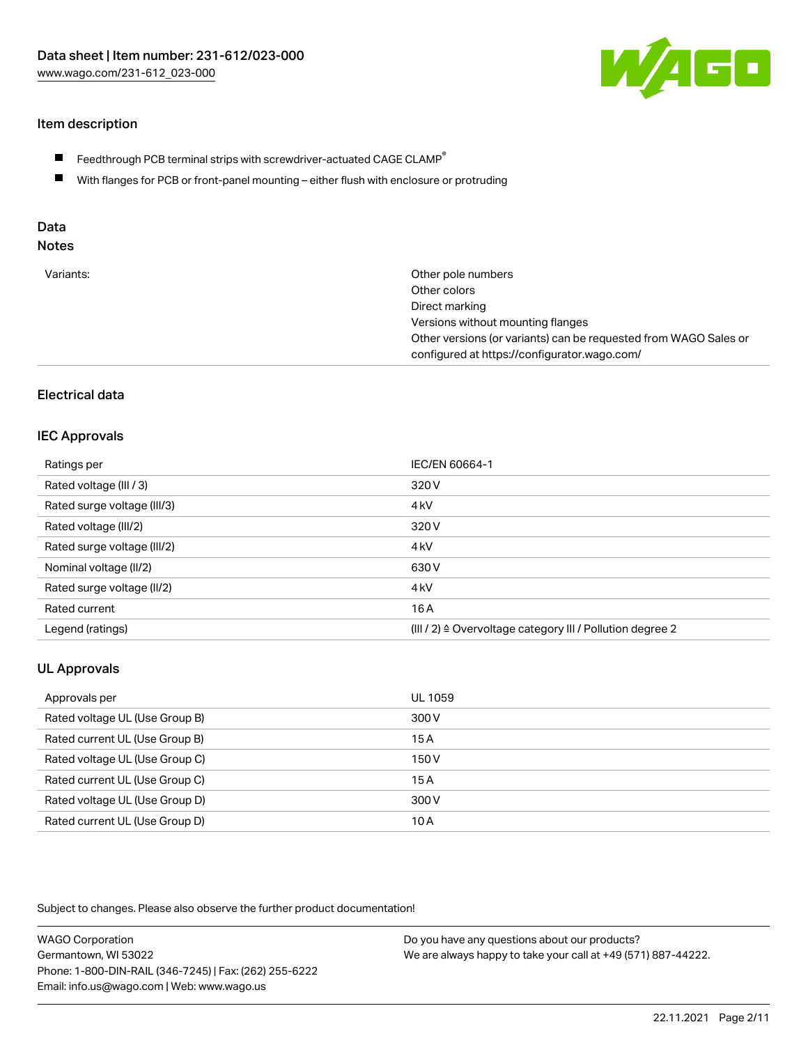

# Item description

- $\blacksquare$  Feedthrough PCB terminal strips with screwdriver-actuated CAGE CLAMP<sup>®</sup>
- With flanges for PCB or front-panel mounting either flush with enclosure or protruding

# Data

# Notes

| Variants: | Other pole numbers                                               |
|-----------|------------------------------------------------------------------|
|           | Other colors                                                     |
|           | Direct marking                                                   |
|           | Versions without mounting flanges                                |
|           | Other versions (or variants) can be requested from WAGO Sales or |
|           | configured at https://configurator.wago.com/                     |

## Electrical data

#### IEC Approvals

| Ratings per                 | IEC/EN 60664-1                                                       |
|-----------------------------|----------------------------------------------------------------------|
| Rated voltage (III / 3)     | 320 V                                                                |
| Rated surge voltage (III/3) | 4 <sub>k</sub> V                                                     |
| Rated voltage (III/2)       | 320 V                                                                |
| Rated surge voltage (III/2) | 4 <sub>k</sub> V                                                     |
| Nominal voltage (II/2)      | 630 V                                                                |
| Rated surge voltage (II/2)  | 4 <sub>k</sub> V                                                     |
| Rated current               | 16 A                                                                 |
| Legend (ratings)            | (III / 2) $\triangleq$ Overvoltage category III / Pollution degree 2 |

# UL Approvals

| Approvals per                  | UL 1059 |
|--------------------------------|---------|
| Rated voltage UL (Use Group B) | 300 V   |
| Rated current UL (Use Group B) | 15 A    |
| Rated voltage UL (Use Group C) | 150 V   |
| Rated current UL (Use Group C) | 15A     |
| Rated voltage UL (Use Group D) | 300 V   |
| Rated current UL (Use Group D) | 10 A    |

Subject to changes. Please also observe the further product documentation!

| <b>WAGO Corporation</b>                                | Do you have any questions about our products?                 |
|--------------------------------------------------------|---------------------------------------------------------------|
| Germantown, WI 53022                                   | We are always happy to take your call at +49 (571) 887-44222. |
| Phone: 1-800-DIN-RAIL (346-7245)   Fax: (262) 255-6222 |                                                               |
| Email: info.us@wago.com   Web: www.wago.us             |                                                               |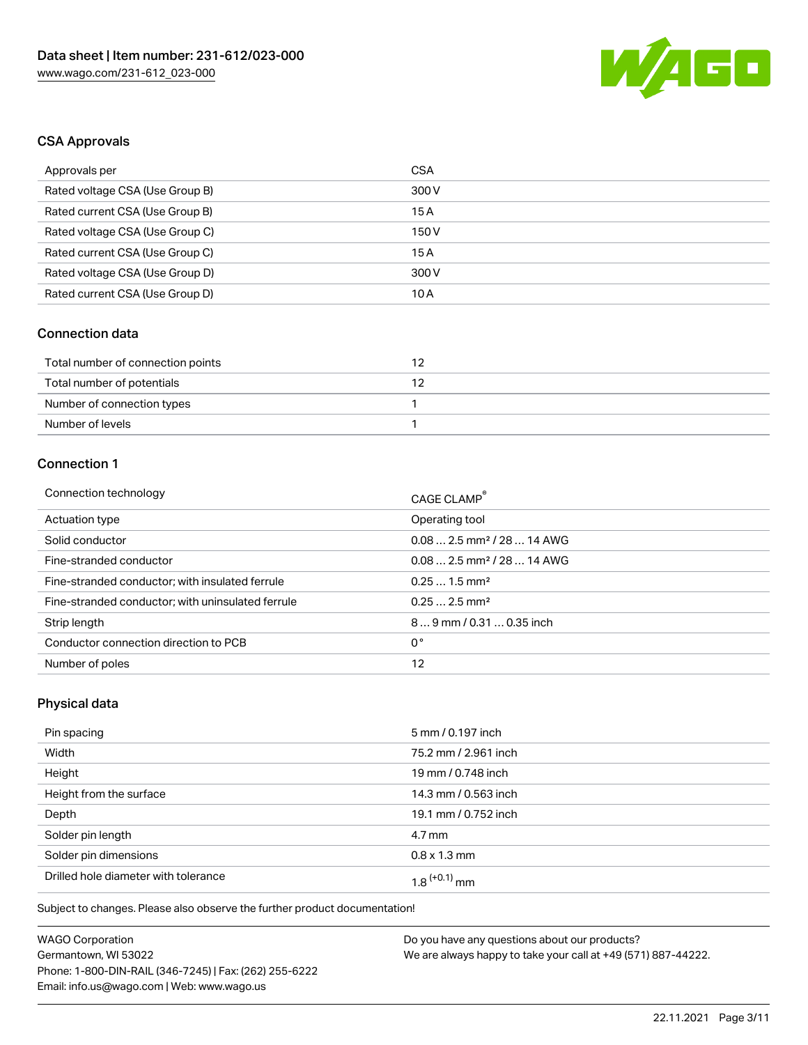

# CSA Approvals

| Approvals per                   | CSA   |
|---------------------------------|-------|
| Rated voltage CSA (Use Group B) | 300 V |
| Rated current CSA (Use Group B) | 15 A  |
| Rated voltage CSA (Use Group C) | 150 V |
| Rated current CSA (Use Group C) | 15A   |
| Rated voltage CSA (Use Group D) | 300 V |
| Rated current CSA (Use Group D) | 10 A  |

# Connection data

| Total number of connection points |  |
|-----------------------------------|--|
| Total number of potentials        |  |
| Number of connection types        |  |
| Number of levels                  |  |

# Connection 1

| Connection technology                             | CAGE CLAMP®                             |
|---------------------------------------------------|-----------------------------------------|
| Actuation type                                    | Operating tool                          |
| Solid conductor                                   | $0.082.5$ mm <sup>2</sup> / 28  14 AWG  |
| Fine-stranded conductor                           | $0.08$ 2.5 mm <sup>2</sup> / 28  14 AWG |
| Fine-stranded conductor; with insulated ferrule   | $0.251.5$ mm <sup>2</sup>               |
| Fine-stranded conductor; with uninsulated ferrule | $0.252.5$ mm <sup>2</sup>               |
| Strip length                                      | 89 mm / 0.31  0.35 inch                 |
| Conductor connection direction to PCB             | 0°                                      |
| Number of poles                                   | 12                                      |

# Physical data

| Pin spacing                          | 5 mm / 0.197 inch    |
|--------------------------------------|----------------------|
| Width                                | 75.2 mm / 2.961 inch |
| Height                               | 19 mm / 0.748 inch   |
| Height from the surface              | 14.3 mm / 0.563 inch |
| Depth                                | 19.1 mm / 0.752 inch |
| Solder pin length                    | $4.7 \,\mathrm{mm}$  |
| Solder pin dimensions                | $0.8 \times 1.3$ mm  |
| Drilled hole diameter with tolerance | $1.8$ $(+0.1)$ mm    |

Subject to changes. Please also observe the further product documentation!

| <b>WAGO Corporation</b>                                | Do v |
|--------------------------------------------------------|------|
| Germantown, WI 53022                                   | We a |
| Phone: 1-800-DIN-RAIL (346-7245)   Fax: (262) 255-6222 |      |
| Email: info.us@wago.com   Web: www.wago.us             |      |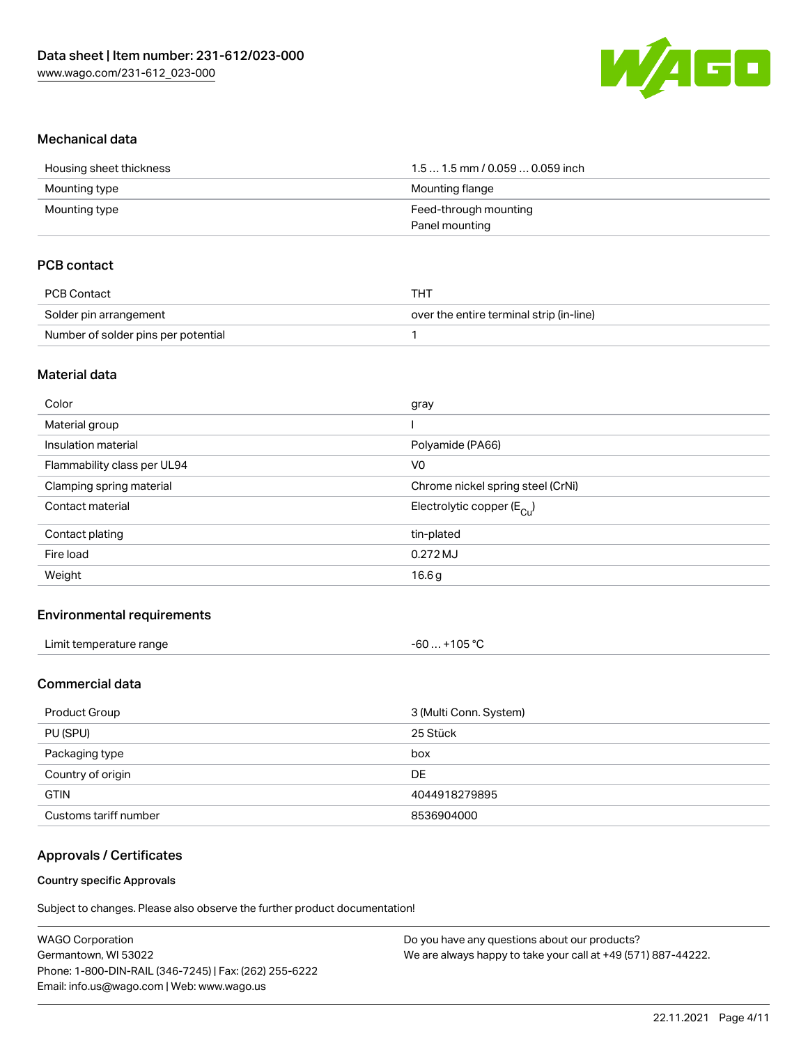

#### Mechanical data

| Housing sheet thickness | $1.51.5$ mm / 0.059  0.059 inch |
|-------------------------|---------------------------------|
| Mounting type           | Mounting flange                 |
| Mounting type           | Feed-through mounting           |
|                         | Panel mounting                  |

## PCB contact

| PCB Contact                         | тнт                                      |
|-------------------------------------|------------------------------------------|
| Solder pin arrangement              | over the entire terminal strip (in-line) |
| Number of solder pins per potential |                                          |

#### Material data

| Color                       | gray                                  |
|-----------------------------|---------------------------------------|
| Material group              |                                       |
| Insulation material         | Polyamide (PA66)                      |
| Flammability class per UL94 | V <sub>0</sub>                        |
| Clamping spring material    | Chrome nickel spring steel (CrNi)     |
| Contact material            | Electrolytic copper $(E_{\text{Cu}})$ |
| Contact plating             | tin-plated                            |
| Fire load                   | 0.272 MJ                              |
| Weight                      | 16.6 <sub>g</sub>                     |
|                             |                                       |

#### Environmental requirements

| Limit temperature range | -60  +105 °C |
|-------------------------|--------------|
|-------------------------|--------------|

# Commercial data

| Product Group         | 3 (Multi Conn. System) |
|-----------------------|------------------------|
| PU (SPU)              | 25 Stück               |
| Packaging type        | box                    |
| Country of origin     | <b>DE</b>              |
| <b>GTIN</b>           | 4044918279895          |
| Customs tariff number | 8536904000             |

#### Approvals / Certificates

#### Country specific Approvals

Subject to changes. Please also observe the further product documentation!

| <b>WAGO Corporation</b>                                | Do you have any questions about our products?                 |
|--------------------------------------------------------|---------------------------------------------------------------|
| Germantown, WI 53022                                   | We are always happy to take your call at +49 (571) 887-44222. |
| Phone: 1-800-DIN-RAIL (346-7245)   Fax: (262) 255-6222 |                                                               |
| Email: info.us@wago.com   Web: www.wago.us             |                                                               |
|                                                        |                                                               |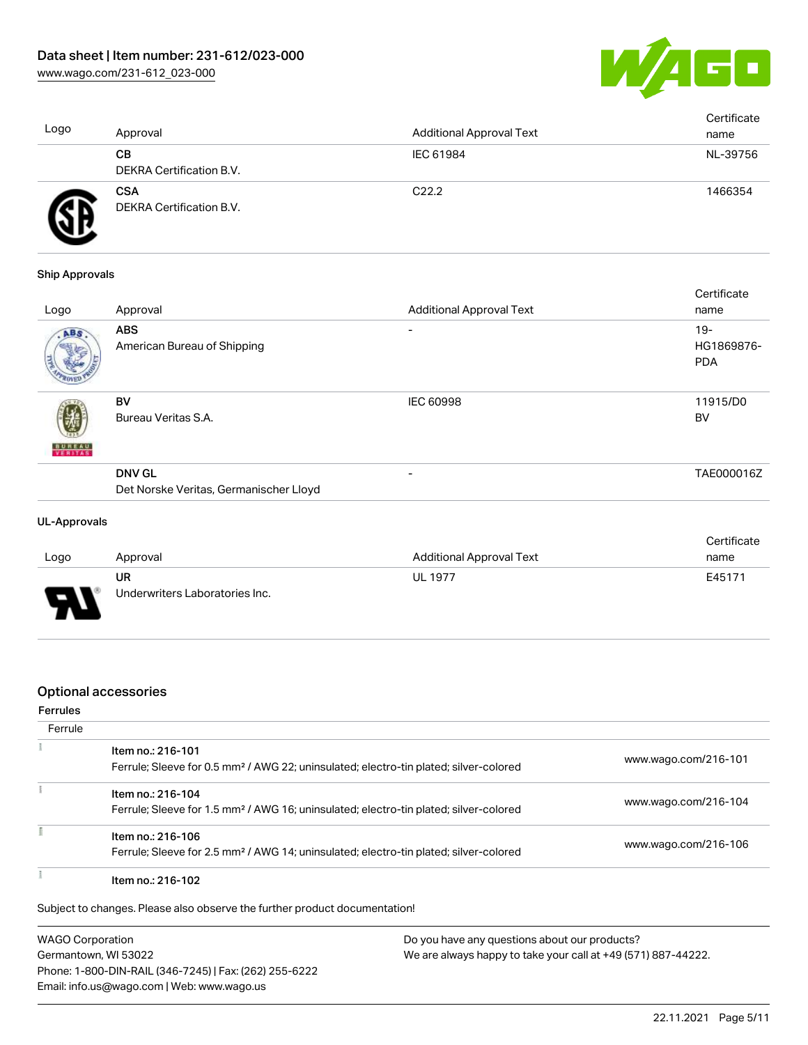

| Logo | Approval                               | <b>Additional Approval Text</b> | Certificate<br>name |
|------|----------------------------------------|---------------------------------|---------------------|
|      | CВ<br>DEKRA Certification B.V.         | IEC 61984                       | NL-39756            |
|      | <b>CSA</b><br>DEKRA Certification B.V. | C <sub>22.2</sub>               | 1466354             |

#### Ship Approvals

| Logo                     | Approval                                                | <b>Additional Approval Text</b> | Certificate<br>name                |
|--------------------------|---------------------------------------------------------|---------------------------------|------------------------------------|
| ABS                      | <b>ABS</b><br>American Bureau of Shipping               | -                               | $19 -$<br>HG1869876-<br><b>PDA</b> |
| <b>BUREAU</b><br>VERITAS | <b>BV</b><br>Bureau Veritas S.A.                        | <b>IEC 60998</b>                | 11915/D0<br><b>BV</b>              |
|                          | <b>DNV GL</b><br>Det Norske Veritas, Germanischer Lloyd | -                               | TAE000016Z                         |

#### UL-Approvals

|                          |                                |                                 | Certificate |
|--------------------------|--------------------------------|---------------------------------|-------------|
| Logo                     | Approval                       | <b>Additional Approval Text</b> | name        |
|                          | UR                             | <b>UL 1977</b>                  | E45171      |
| $\overline{\phantom{0}}$ | Underwriters Laboratories Inc. |                                 |             |

#### Optional accessories

#### Ferrules

| Ferrule |                                                                                                                        |                      |
|---------|------------------------------------------------------------------------------------------------------------------------|----------------------|
|         | Item no.: 216-101<br>Ferrule; Sleeve for 0.5 mm <sup>2</sup> / AWG 22; uninsulated; electro-tin plated; silver-colored | www.wago.com/216-101 |
|         | Item no.: 216-104<br>Ferrule; Sleeve for 1.5 mm <sup>2</sup> / AWG 16; uninsulated; electro-tin plated; silver-colored | www.wago.com/216-104 |
|         | Item no.: 216-106<br>Ferrule; Sleeve for 2.5 mm <sup>2</sup> / AWG 14; uninsulated; electro-tin plated; silver-colored | www.wago.com/216-106 |
|         | Item no.: 216-102                                                                                                      |                      |

Subject to changes. Please also observe the further product documentation!

WAGO Corporation Germantown, WI 53022 Phone: 1-800-DIN-RAIL (346-7245) | Fax: (262) 255-6222 Email: info.us@wago.com | Web: www.wago.us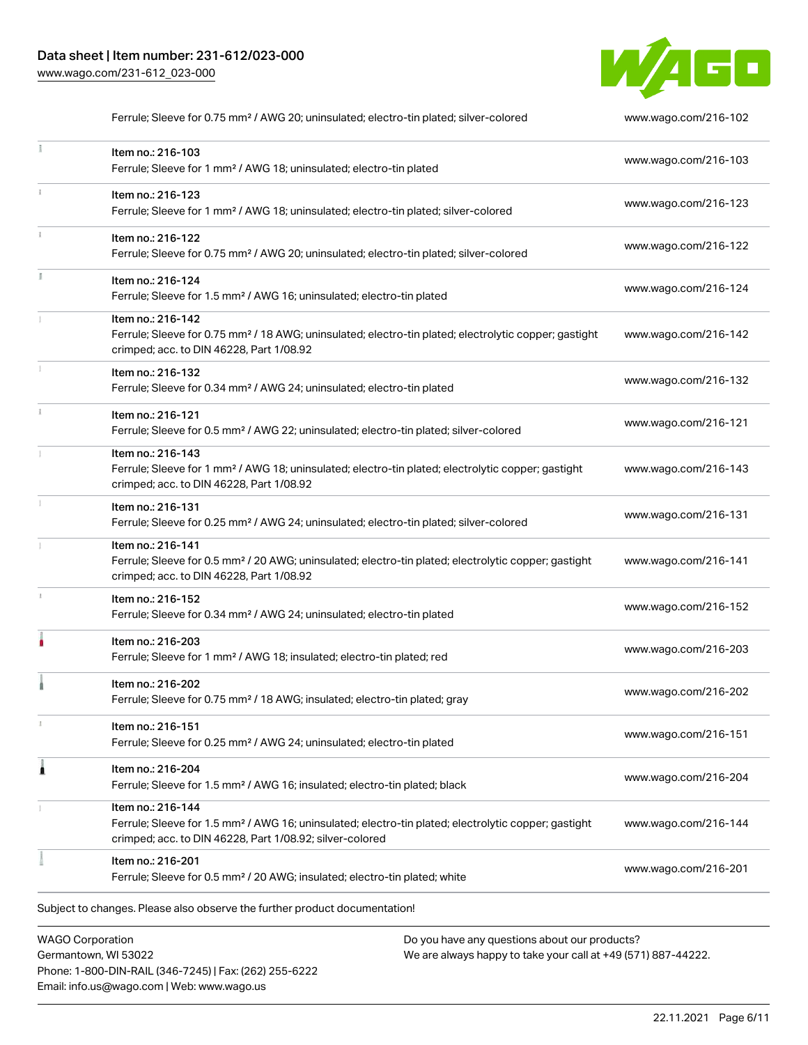Phone: 1-800-DIN-RAIL (346-7245) | Fax: (262) 255-6222

Email: info.us@wago.com | Web: www.wago.us



|                                                 | Ferrule; Sleeve for 0.75 mm <sup>2</sup> / AWG 20; uninsulated; electro-tin plated; silver-colored                                                                                                |                                                                                                                | www.wago.com/216-102 |
|-------------------------------------------------|---------------------------------------------------------------------------------------------------------------------------------------------------------------------------------------------------|----------------------------------------------------------------------------------------------------------------|----------------------|
|                                                 | Item no.: 216-103<br>Ferrule; Sleeve for 1 mm <sup>2</sup> / AWG 18; uninsulated; electro-tin plated                                                                                              |                                                                                                                | www.wago.com/216-103 |
|                                                 | Item no.: 216-123<br>Ferrule; Sleeve for 1 mm <sup>2</sup> / AWG 18; uninsulated; electro-tin plated; silver-colored                                                                              |                                                                                                                | www.wago.com/216-123 |
|                                                 | Item no.: 216-122<br>Ferrule; Sleeve for 0.75 mm <sup>2</sup> / AWG 20; uninsulated; electro-tin plated; silver-colored                                                                           |                                                                                                                | www.wago.com/216-122 |
|                                                 | Item no.: 216-124<br>Ferrule; Sleeve for 1.5 mm <sup>2</sup> / AWG 16; uninsulated; electro-tin plated                                                                                            |                                                                                                                | www.wago.com/216-124 |
|                                                 | Item no.: 216-142<br>Ferrule; Sleeve for 0.75 mm <sup>2</sup> / 18 AWG; uninsulated; electro-tin plated; electrolytic copper; gastight<br>crimped; acc. to DIN 46228, Part 1/08.92                |                                                                                                                | www.wago.com/216-142 |
|                                                 | Item no.: 216-132<br>Ferrule; Sleeve for 0.34 mm <sup>2</sup> / AWG 24; uninsulated; electro-tin plated                                                                                           |                                                                                                                | www.wago.com/216-132 |
|                                                 | Item no.: 216-121<br>Ferrule; Sleeve for 0.5 mm <sup>2</sup> / AWG 22; uninsulated; electro-tin plated; silver-colored                                                                            |                                                                                                                | www.wago.com/216-121 |
|                                                 | Item no.: 216-143<br>Ferrule; Sleeve for 1 mm <sup>2</sup> / AWG 18; uninsulated; electro-tin plated; electrolytic copper; gastight<br>crimped; acc. to DIN 46228, Part 1/08.92                   |                                                                                                                | www.wago.com/216-143 |
|                                                 | Item no.: 216-131<br>Ferrule; Sleeve for 0.25 mm <sup>2</sup> / AWG 24; uninsulated; electro-tin plated; silver-colored                                                                           |                                                                                                                | www.wago.com/216-131 |
|                                                 | Item no.: 216-141<br>Ferrule; Sleeve for 0.5 mm <sup>2</sup> / 20 AWG; uninsulated; electro-tin plated; electrolytic copper; gastight<br>crimped; acc. to DIN 46228, Part 1/08.92                 |                                                                                                                | www.wago.com/216-141 |
|                                                 | Item no.: 216-152<br>Ferrule; Sleeve for 0.34 mm <sup>2</sup> / AWG 24; uninsulated; electro-tin plated                                                                                           |                                                                                                                | www.wago.com/216-152 |
|                                                 | Item no.: 216-203<br>Ferrule; Sleeve for 1 mm <sup>2</sup> / AWG 18; insulated; electro-tin plated; red                                                                                           |                                                                                                                | www.wago.com/216-203 |
|                                                 | Item no.: 216-202<br>Ferrule; Sleeve for 0.75 mm <sup>2</sup> / 18 AWG; insulated; electro-tin plated; gray                                                                                       |                                                                                                                | www.wago.com/216-202 |
|                                                 | Item no.: 216-151<br>Ferrule; Sleeve for 0.25 mm <sup>2</sup> / AWG 24; uninsulated; electro-tin plated                                                                                           |                                                                                                                | www.wago.com/216-151 |
| 1                                               | Item no.: 216-204<br>Ferrule; Sleeve for 1.5 mm <sup>2</sup> / AWG 16; insulated; electro-tin plated; black                                                                                       |                                                                                                                | www.wago.com/216-204 |
|                                                 | Item no.: 216-144<br>Ferrule; Sleeve for 1.5 mm <sup>2</sup> / AWG 16; uninsulated; electro-tin plated; electrolytic copper; gastight<br>crimped; acc. to DIN 46228, Part 1/08.92; silver-colored |                                                                                                                | www.wago.com/216-144 |
|                                                 | Item no.: 216-201<br>Ferrule; Sleeve for 0.5 mm <sup>2</sup> / 20 AWG; insulated; electro-tin plated; white                                                                                       |                                                                                                                | www.wago.com/216-201 |
|                                                 | Subject to changes. Please also observe the further product documentation!                                                                                                                        |                                                                                                                |                      |
| <b>WAGO Corporation</b><br>Germantown, WI 53022 |                                                                                                                                                                                                   | Do you have any questions about our products?<br>We are always happy to take your call at +49 (571) 887-44222. |                      |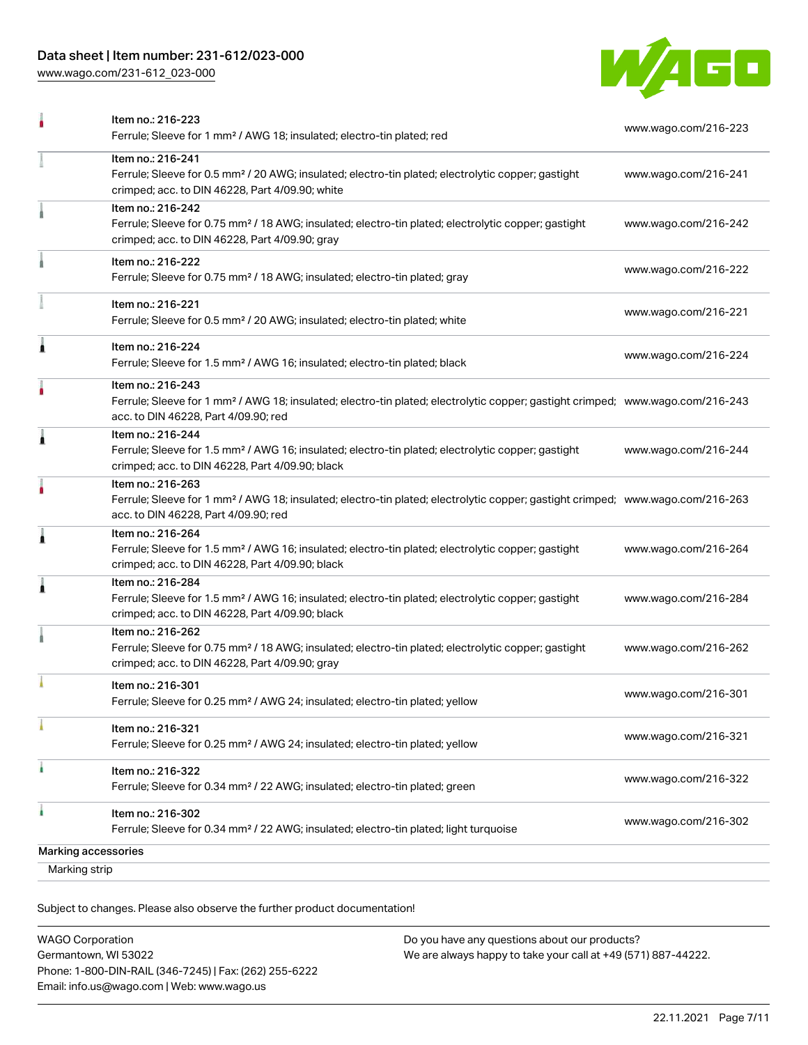# Data sheet | Item number: 231-612/023-000

[www.wago.com/231-612\\_023-000](http://www.wago.com/231-612_023-000)



|                                             | Item no.: 216-223<br>Ferrule; Sleeve for 1 mm <sup>2</sup> / AWG 18; insulated; electro-tin plated; red                                                                                                 | www.wago.com/216-223 |
|---------------------------------------------|---------------------------------------------------------------------------------------------------------------------------------------------------------------------------------------------------------|----------------------|
|                                             | Item no.: 216-241<br>Ferrule; Sleeve for 0.5 mm <sup>2</sup> / 20 AWG; insulated; electro-tin plated; electrolytic copper; gastight<br>crimped; acc. to DIN 46228, Part 4/09.90; white                  | www.wago.com/216-241 |
|                                             | Item no.: 216-242<br>Ferrule; Sleeve for 0.75 mm <sup>2</sup> / 18 AWG; insulated; electro-tin plated; electrolytic copper; gastight<br>crimped; acc. to DIN 46228, Part 4/09.90; gray                  | www.wago.com/216-242 |
|                                             | Item no.: 216-222<br>Ferrule; Sleeve for 0.75 mm <sup>2</sup> / 18 AWG; insulated; electro-tin plated; gray                                                                                             | www.wago.com/216-222 |
|                                             | Item no.: 216-221<br>Ferrule; Sleeve for 0.5 mm <sup>2</sup> / 20 AWG; insulated; electro-tin plated; white                                                                                             | www.wago.com/216-221 |
| Â                                           | Item no.: 216-224<br>Ferrule; Sleeve for 1.5 mm <sup>2</sup> / AWG 16; insulated; electro-tin plated; black                                                                                             | www.wago.com/216-224 |
|                                             | Item no.: 216-243<br>Ferrule; Sleeve for 1 mm <sup>2</sup> / AWG 18; insulated; electro-tin plated; electrolytic copper; gastight crimped; www.wago.com/216-243<br>acc. to DIN 46228, Part 4/09.90; red |                      |
| 1                                           | Item no.: 216-244<br>Ferrule; Sleeve for 1.5 mm <sup>2</sup> / AWG 16; insulated; electro-tin plated; electrolytic copper; gastight<br>crimped; acc. to DIN 46228, Part 4/09.90; black                  | www.wago.com/216-244 |
| ۵                                           | Item no.: 216-263<br>Ferrule; Sleeve for 1 mm <sup>2</sup> / AWG 18; insulated; electro-tin plated; electrolytic copper; gastight crimped; www.wago.com/216-263<br>acc. to DIN 46228, Part 4/09.90; red |                      |
| Â                                           | Item no.: 216-264<br>Ferrule; Sleeve for 1.5 mm <sup>2</sup> / AWG 16; insulated; electro-tin plated; electrolytic copper; gastight<br>crimped; acc. to DIN 46228, Part 4/09.90; black                  | www.wago.com/216-264 |
| Â                                           | Item no.: 216-284<br>Ferrule; Sleeve for 1.5 mm <sup>2</sup> / AWG 16; insulated; electro-tin plated; electrolytic copper; gastight<br>crimped; acc. to DIN 46228, Part 4/09.90; black                  | www.wago.com/216-284 |
|                                             | Item no.: 216-262<br>Ferrule; Sleeve for 0.75 mm <sup>2</sup> / 18 AWG; insulated; electro-tin plated; electrolytic copper; gastight<br>crimped; acc. to DIN 46228, Part 4/09.90; gray                  | www.wago.com/216-262 |
|                                             | Item no.: 216-301<br>Ferrule; Sleeve for 0.25 mm <sup>2</sup> / AWG 24; insulated; electro-tin plated; yellow                                                                                           | www.wago.com/216-301 |
|                                             | Item no.: 216-321<br>Ferrule; Sleeve for 0.25 mm <sup>2</sup> / AWG 24; insulated; electro-tin plated; yellow                                                                                           | www.wago.com/216-321 |
|                                             | Item no.: 216-322<br>Ferrule; Sleeve for 0.34 mm <sup>2</sup> / 22 AWG; insulated; electro-tin plated; green                                                                                            | www.wago.com/216-322 |
| ۸                                           | Item no.: 216-302<br>Ferrule; Sleeve for 0.34 mm <sup>2</sup> / 22 AWG; insulated; electro-tin plated; light turquoise                                                                                  | www.wago.com/216-302 |
| <b>Marking accessories</b><br>Marking strip |                                                                                                                                                                                                         |                      |

Subject to changes. Please also observe the further product documentation!

| <b>WAGO Corporation</b>                                | Do you have any questions about our products?                 |
|--------------------------------------------------------|---------------------------------------------------------------|
| Germantown, WI 53022                                   | We are always happy to take your call at +49 (571) 887-44222. |
| Phone: 1-800-DIN-RAIL (346-7245)   Fax: (262) 255-6222 |                                                               |
| Email: info.us@wago.com   Web: www.wago.us             |                                                               |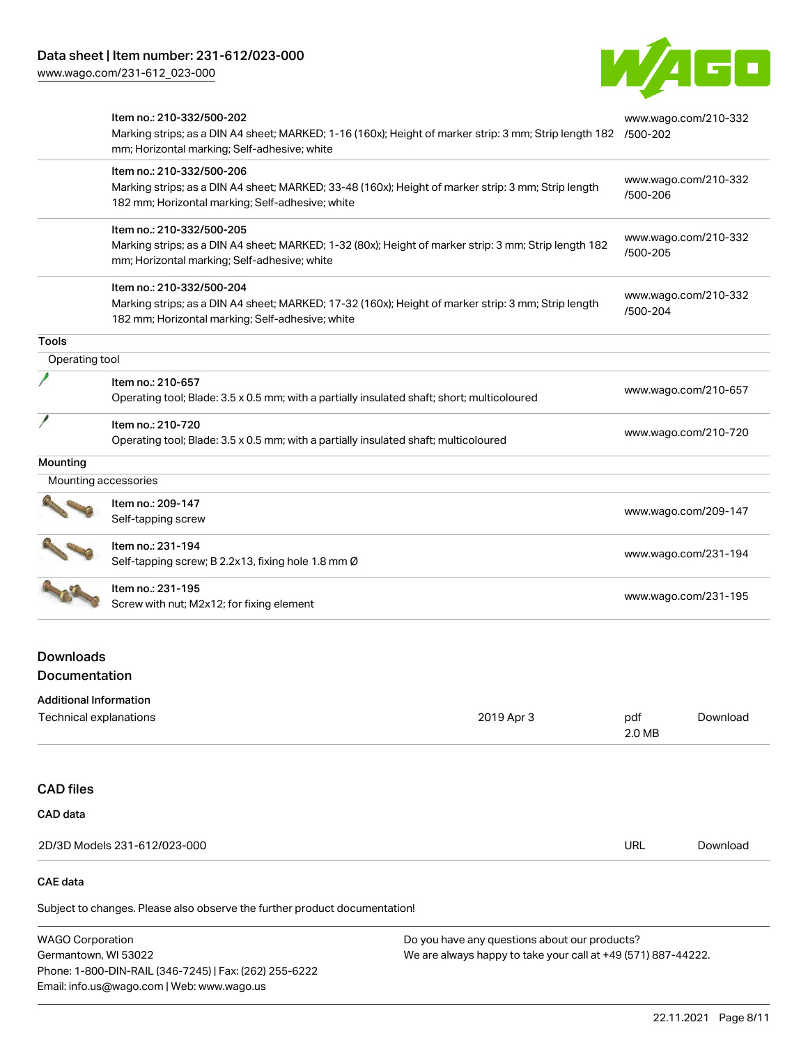[www.wago.com/231-612\\_023-000](http://www.wago.com/231-612_023-000)



|                | Item no.: 210-332/500-202<br>Marking strips; as a DIN A4 sheet; MARKED; 1-16 (160x); Height of marker strip: 3 mm; Strip length 182<br>mm; Horizontal marking; Self-adhesive; white  | www.wago.com/210-332<br>/500-202 |
|----------------|--------------------------------------------------------------------------------------------------------------------------------------------------------------------------------------|----------------------------------|
|                | Item no.: 210-332/500-206<br>Marking strips; as a DIN A4 sheet; MARKED; 33-48 (160x); Height of marker strip: 3 mm; Strip length<br>182 mm; Horizontal marking; Self-adhesive; white | www.wago.com/210-332<br>/500-206 |
|                | Item no.: 210-332/500-205<br>Marking strips; as a DIN A4 sheet; MARKED; 1-32 (80x); Height of marker strip: 3 mm; Strip length 182<br>mm; Horizontal marking; Self-adhesive; white   | www.wago.com/210-332<br>/500-205 |
|                | Item no.: 210-332/500-204<br>Marking strips; as a DIN A4 sheet; MARKED; 17-32 (160x); Height of marker strip: 3 mm; Strip length<br>182 mm; Horizontal marking; Self-adhesive; white | www.wago.com/210-332<br>/500-204 |
| <b>Tools</b>   |                                                                                                                                                                                      |                                  |
| Operating tool |                                                                                                                                                                                      |                                  |
|                | Item no.: 210-657<br>Operating tool; Blade: 3.5 x 0.5 mm; with a partially insulated shaft; short; multicoloured                                                                     | www.wago.com/210-657             |
|                | Item no.: 210-720<br>Operating tool; Blade: 3.5 x 0.5 mm; with a partially insulated shaft; multicoloured                                                                            | www.wago.com/210-720             |
| Mounting       |                                                                                                                                                                                      |                                  |
|                | Mounting accessories                                                                                                                                                                 |                                  |
|                | Item no.: 209-147<br>Self-tapping screw                                                                                                                                              | www.wago.com/209-147             |
|                | Item no.: 231-194<br>Self-tapping screw; B 2.2x13, fixing hole 1.8 mm Ø                                                                                                              | www.wago.com/231-194             |
|                | Item no.: 231-195<br>Screw with nut; M2x12; for fixing element                                                                                                                       | www.wago.com/231-195             |
|                |                                                                                                                                                                                      |                                  |

# Downloads Documentation

# Subject to changes. Please also observe the further product documentation! Additional Information Technical explanations and the control of the control of the control of the control of the control of the control of the control of the control of the control of the control of the control of the control of the control of 2.0 MB [Download](https://www.wago.com/global/d/1435602) CAD files CAD data 2D/3D Models 231-612/023-000 URL [Download](https://www.wago.com/global/d/3D_URLS_231-612_023-000) CAE data

WAGO Corporation Germantown, WI 53022 Phone: 1-800-DIN-RAIL (346-7245) | Fax: (262) 255-6222 Email: info.us@wago.com | Web: www.wago.us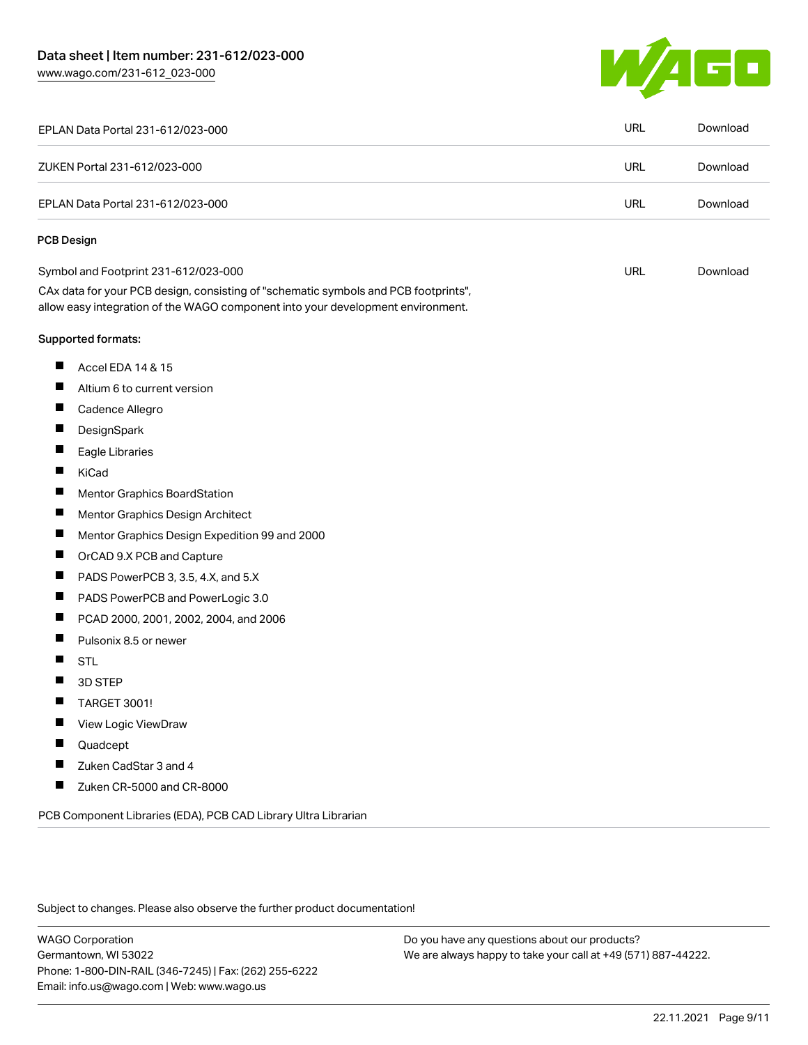W/160

| EPLAN Data Portal 231-612/023-000                                                                                                                                      | <b>URL</b> | Download |
|------------------------------------------------------------------------------------------------------------------------------------------------------------------------|------------|----------|
| ZUKEN Portal 231-612/023-000                                                                                                                                           | <b>URL</b> | Download |
| EPLAN Data Portal 231-612/023-000                                                                                                                                      | <b>URL</b> | Download |
| <b>PCB Design</b>                                                                                                                                                      |            |          |
| Symbol and Footprint 231-612/023-000                                                                                                                                   | <b>URL</b> | Download |
| CAx data for your PCB design, consisting of "schematic symbols and PCB footprints",<br>allow easy integration of the WAGO component into your development environment. |            |          |
| Supported formats:                                                                                                                                                     |            |          |
| Accel EDA 14 & 15                                                                                                                                                      |            |          |
| Altium 6 to current version                                                                                                                                            |            |          |
| H<br>Cadence Allegro                                                                                                                                                   |            |          |
| DesignSpark                                                                                                                                                            |            |          |
| ш<br>Eagle Libraries                                                                                                                                                   |            |          |
| KiCad                                                                                                                                                                  |            |          |
| <b>Mentor Graphics BoardStation</b>                                                                                                                                    |            |          |
| П<br>Mentor Graphics Design Architect                                                                                                                                  |            |          |
| Mentor Graphics Design Expedition 99 and 2000                                                                                                                          |            |          |
| OrCAD 9.X PCB and Capture                                                                                                                                              |            |          |
| П<br>PADS PowerPCB 3, 3.5, 4.X, and 5.X                                                                                                                                |            |          |
| PADS PowerPCB and PowerLogic 3.0                                                                                                                                       |            |          |
| PCAD 2000, 2001, 2002, 2004, and 2006                                                                                                                                  |            |          |
| Pulsonix 8.5 or newer                                                                                                                                                  |            |          |
| <b>STL</b>                                                                                                                                                             |            |          |
| 3D STEP                                                                                                                                                                |            |          |
| <b>TARGET 3001!</b>                                                                                                                                                    |            |          |
| View Logic ViewDraw                                                                                                                                                    |            |          |
| Quadcept                                                                                                                                                               |            |          |
| Zuken CadStar 3 and 4                                                                                                                                                  |            |          |
| H<br>Zuken CR-5000 and CR-8000                                                                                                                                         |            |          |

PCB Component Libraries (EDA), PCB CAD Library Ultra Librarian

Subject to changes. Please also observe the further product documentation!

WAGO Corporation Germantown, WI 53022 Phone: 1-800-DIN-RAIL (346-7245) | Fax: (262) 255-6222 Email: info.us@wago.com | Web: www.wago.us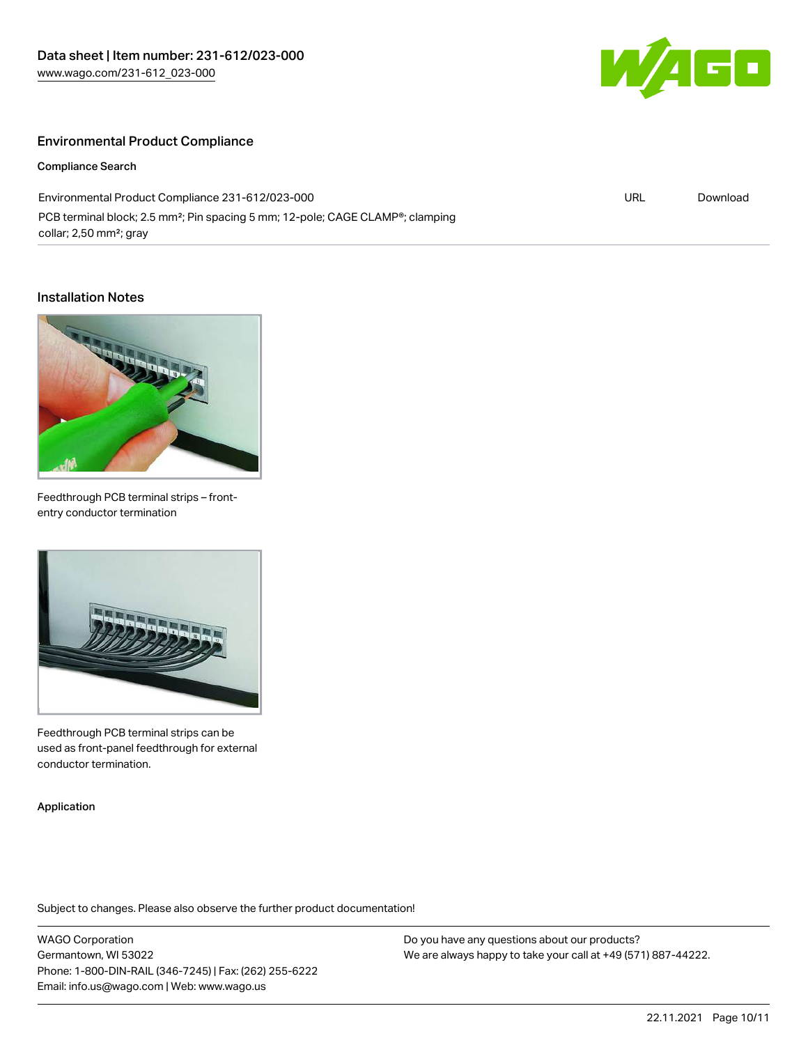

URL [Download](https://www.wago.com/global/d/ComplianceLinkMediaContainer_231-612_023-000)

#### Environmental Product Compliance

Compliance Search

Environmental Product Compliance 231-612/023-000 PCB terminal block; 2.5 mm²; Pin spacing 5 mm; 12-pole; CAGE CLAMP®; clamping collar; 2,50 mm²; gray

#### Installation Notes



Feedthrough PCB terminal strips – frontentry conductor termination



Feedthrough PCB terminal strips can be used as front-panel feedthrough for external conductor termination.

Application

Subject to changes. Please also observe the further product documentation!

WAGO Corporation Germantown, WI 53022 Phone: 1-800-DIN-RAIL (346-7245) | Fax: (262) 255-6222 Email: info.us@wago.com | Web: www.wago.us